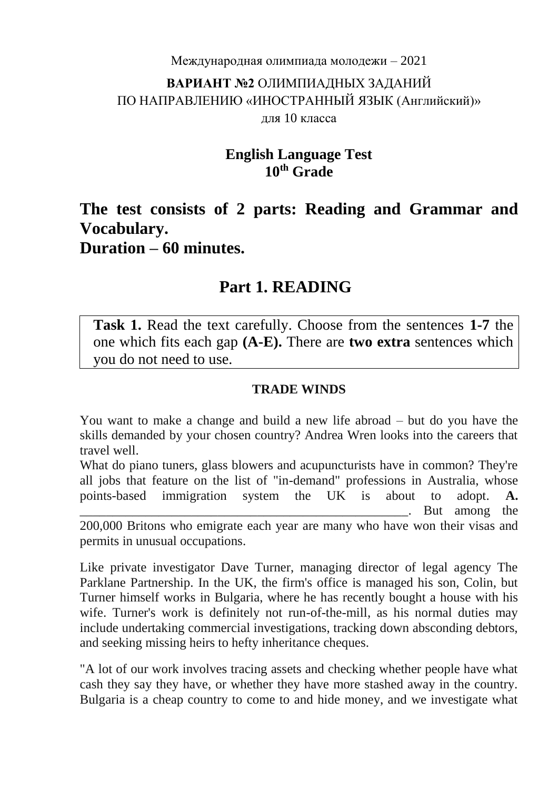# Международная олимпиада молодежи – 2021 **ВАРИАНТ №2** ОЛИМПИАДНЫХ ЗАДАНИЙ ПО НАПРАВЛЕНИЮ «ИНОСТРАННЫЙ ЯЗЫК (Английский)» для 10 класса

### **English Language Test 10th Grade**

# **The test consists of 2 parts: Reading and Grammar and Vocabulary. Duration – 60 minutes.**

# **Part 1. READING**

**Task 1.** Read the text carefully. Choose from the sentences **1-7** the one which fits each gap **(A-E).** There are **two extra** sentences which you do not need to use.

#### **TRADE WINDS**

You want to make a change and build a new life abroad – but do you have the skills demanded by your chosen country? Andrea Wren looks into the careers that travel well.

What do piano tuners, glass blowers and acupuncturists have in common? They're all jobs that feature on the list of "in-demand" professions in Australia, whose points-based immigration system the UK is about to adopt. **A.** But among the 200,000 Britons who emigrate each year are many who have won their visas and permits in unusual occupations.

Like private investigator Dave Turner, managing director of legal agency The Parklane Partnership. In the UK, the firm's office is managed his son, Colin, but Turner himself works in Bulgaria, where he has recently bought a house with his wife. Turner's work is definitely not run-of-the-mill, as his normal duties may include undertaking commercial investigations, tracking down absconding debtors, and seeking missing heirs to hefty inheritance cheques.

"A lot of our work involves tracing assets and checking whether people have what cash they say they have, or whether they have more stashed away in the country. Bulgaria is a cheap country to come to and hide money, and we investigate what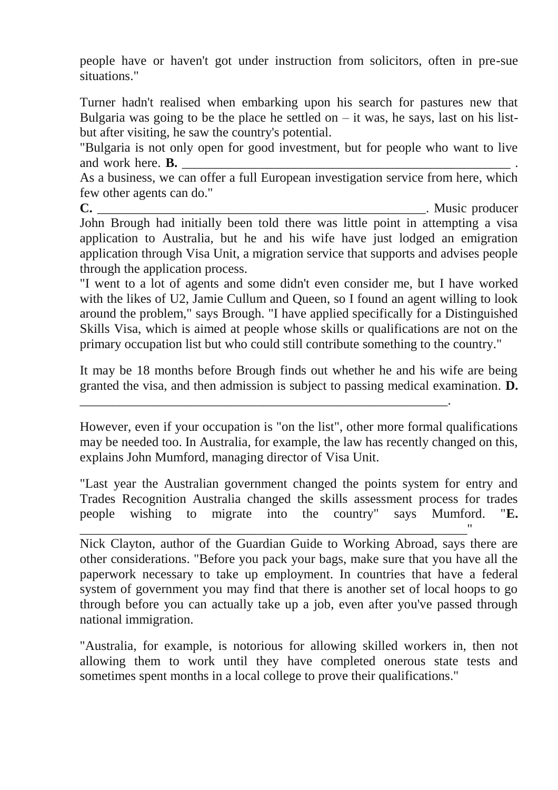people have or haven't got under instruction from solicitors, often in pre-sue situations."

Turner hadn't realised when embarking upon his search for pastures new that Bulgaria was going to be the place he settled on  $-$  it was, he says, last on his listbut after visiting, he saw the country's potential.

"Bulgaria is not only open for good investment, but for people who want to live and work here. **B.** 

As a business, we can offer a full European investigation service from here, which few other agents can do."

**C.** Music producer John Brough had initially been told there was little point in attempting a visa application to Australia, but he and his wife have just lodged an emigration application through Visa Unit, a migration service that supports and advises people through the application process.

"I went to a lot of agents and some didn't even consider me, but I have worked with the likes of U2, Jamie Cullum and Queen, so I found an agent willing to look around the problem," says Brough. "I have applied specifically for a Distinguished Skills Visa, which is aimed at people whose skills or qualifications are not on the primary occupation list but who could still contribute something to the country."

It may be 18 months before Brough finds out whether he and his wife are being granted the visa, and then admission is subject to passing medical examination. **D.**

\_\_\_\_\_\_\_\_\_\_\_\_\_\_\_\_\_\_\_\_\_\_\_\_\_\_\_\_\_\_\_\_\_\_\_\_\_\_\_\_\_\_\_\_\_\_\_\_\_\_\_\_\_\_\_\_.

However, even if your occupation is "on the list", other more formal qualifications may be needed too. In Australia, for example, the law has recently changed on this, explains John Mumford, managing director of Visa Unit.

"Last year the Australian government changed the points system for entry and Trades Recognition Australia changed the skills assessment process for trades people wishing to migrate into the country" says Mumford. "**E.** \_\_\_\_\_\_\_\_\_\_\_\_\_\_\_\_\_\_\_\_\_\_\_\_\_\_\_\_\_\_\_\_\_\_\_\_\_\_\_\_\_\_\_\_\_\_\_\_\_\_\_\_\_\_\_\_\_\_\_"

Nick Clayton, author of the Guardian Guide to Working Abroad, says there are other considerations. "Before you pack your bags, make sure that you have all the paperwork necessary to take up employment. In countries that have a federal system of government you may find that there is another set of local hoops to go through before you can actually take up a job, even after you've passed through national immigration.

"Australia, for example, is notorious for allowing skilled workers in, then not allowing them to work until they have completed onerous state tests and sometimes spent months in a local college to prove their qualifications."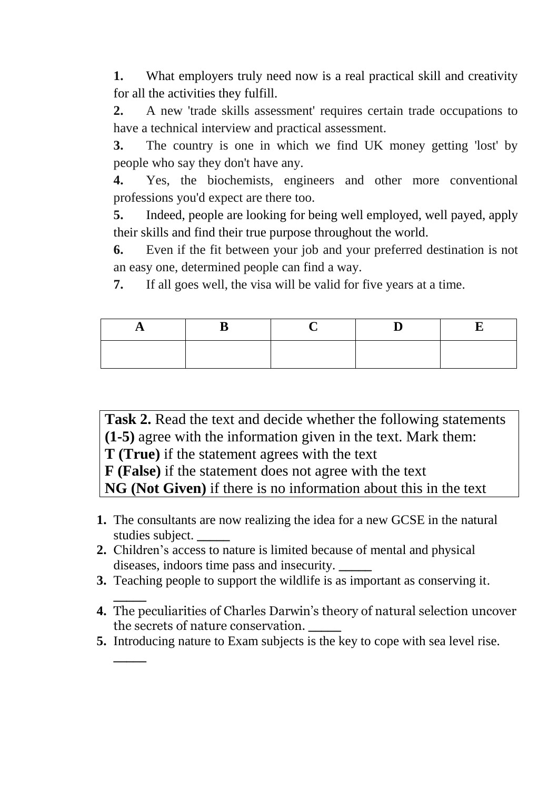**1.** What employers truly need now is a real practical skill and creativity for all the activities they fulfill.

**2.** A new 'trade skills assessment' requires certain trade occupations to have a technical interview and practical assessment.

**3.** The country is one in which we find UK money getting 'lost' by people who say they don't have any.

**4.** Yes, the biochemists, engineers and other more conventional professions you'd expect are there too.

**5.** Indeed, people are looking for being well employed, well payed, apply their skills and find their true purpose throughout the world.

**6.** Even if the fit between your job and your preferred destination is not an easy one, determined people can find a way.

**7.** If all goes well, the visa will be valid for five years at a time.

Task 2. Read the text and decide whether the following statements **(1-5)** agree with the information given in the text. Mark them: **T (True)** if the statement agrees with the text **F (False)** if the statement does not agree with the text

**NG (Not Given)** if there is no information about this in the text

- **1.** The consultants are now realizing the idea for a new GCSE in the natural studies subject. **\_\_\_\_\_**
- **2.** Children's access to nature is limited because of mental and physical diseases, indoors time pass and insecurity. **\_\_\_\_\_**
- **3.** Teaching people to support the wildlife is as important as conserving it.
- **\_\_\_\_\_ 4.** The peculiarities of Charles Darwin's theory of natural selection uncover the secrets of nature conservation. **\_\_\_\_\_**
- **5.** Introducing nature to Exam subjects is the key to cope with sea level rise.

**\_\_\_\_\_**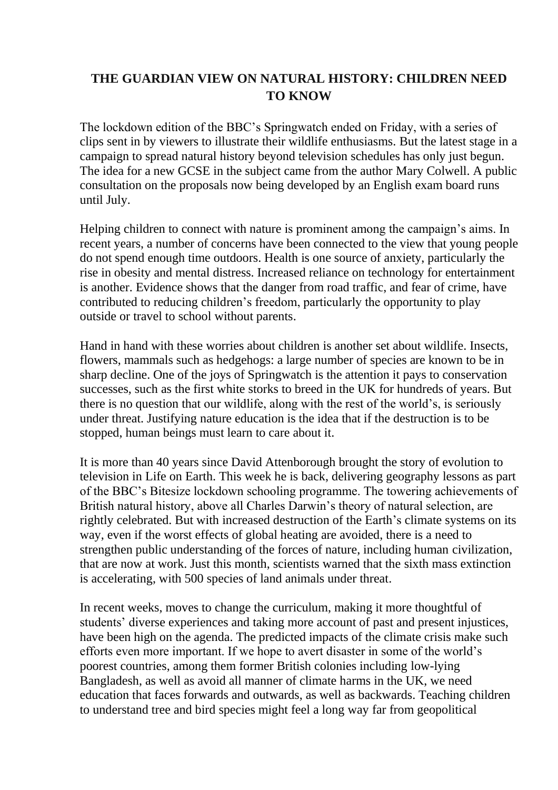#### **THE GUARDIAN VIEW ON NATURAL HISTORY: CHILDREN NEED TO KNOW**

The lockdown edition of the BBC's Springwatch ended on Friday, with a series of clips sent in by viewers to illustrate their wildlife enthusiasms. But the latest stage in a campaign to spread natural history beyond television schedules has only just begun. The idea for a new GCSE in the subject came from the author Mary [Colwell.](https://www.theguardian.com/books/2018/may/03/curlew-moon-by-mary-colwell-review) A public [consultation](https://teach.ocr.org.uk/naturalhistory) on the proposals now being developed by an English exam board runs until July.

Helping [children](https://www.theguardian.com/books/2020/may/20/wild-child-by-patrick-barkham-review-why-children-need-nature) to connect with nature is prominent among the campaign's aims. In recent years, a number of concerns have been connected to the view that young people do not spend enough time outdoors. Health is one source of anxiety, particularly the rise in obesity and mental distress. Increased reliance on technology for entertainment is another. Evidence shows that the danger from road traffic, and fear of crime, have contributed to reducing children's freedom, particularly the [opportunity](https://www.ltl.org.uk/wp-content/uploads/2019/02/children-in-the-outdoors.pdf) to play [outside](https://www.ltl.org.uk/wp-content/uploads/2019/02/children-in-the-outdoors.pdf) or travel to school without parents.

Hand in hand with these worries about children is another set about wildlife. Insects, flowers, mammals such as hedgehogs: a large number of species are known to be in sharp decline. One of the joys of Springwatch is the attention it pays to conservation successes, such as the first white [storks](https://www.theguardian.com/environment/2020/may/16/wild-white-storks-hatch-for-first-time-in-hundreds-of-years) to breed in the UK for hundreds of years. But there is no question that our wildlife, along with the rest of the world's, is seriously under threat. Justifying nature education is the idea that if the destruction is to be stopped, human beings must learn to care about it.

It is more than 40 years since David Attenborough brought the story of evolution to television in Life on Earth. This week he is [back,](https://www.bbc.co.uk/newsround/53048939) delivering geography lessons as part of the BBC's Bitesize lockdown schooling programme. The towering achievements of British natural history, above all Charles Darwin's theory of natural selection, are rightly celebrated. But with increased [destruction](https://www.theguardian.com/environment/2020/jun/13/climate-worst-case-scenarios-clouds-scientists-global-heating) of the Earth's climate systems on its [way,](https://www.theguardian.com/environment/2020/jun/13/climate-worst-case-scenarios-clouds-scientists-global-heating) even if the worst effects of global heating are avoided, there is a need to strengthen public understanding of the forces of nature, including human civilization, that are now at work. Just this month, scientists warned that the sixth mass [extinction](https://www.theguardian.com/environment/2020/jun/01/sixth-mass-extinction-of-wildlife-accelerating-scientists-warn) is [accelerating,](https://www.theguardian.com/environment/2020/jun/01/sixth-mass-extinction-of-wildlife-accelerating-scientists-warn) with 500 species of land animals under threat.

In recent weeks, moves to change the [curriculum,](https://www.theguardian.com/us-news/2020/jun/11/only-fifth-of-uk-universities-have-said-they-will-decolonise-curriculum) making it more thoughtful of students' diverse experiences and taking more account of past and present injustices, have been high on the agenda. The predicted impacts of the climate crisis make such efforts even more important. If we hope to avert disaster in some of the world's poorest countries, among them former British colonies including [low-lying](https://www.theguardian.com/news/2020/feb/05/weatherwatch-bangladesh-among-most-risk-rising-sea-levels) [Bangladesh,](https://www.theguardian.com/news/2020/feb/05/weatherwatch-bangladesh-among-most-risk-rising-sea-levels) as well as avoid all manner of climate harms in the UK, we need education that faces forwards and outwards, as well as backwards. Teaching children to understand tree and bird species might feel a long way far from geopolitical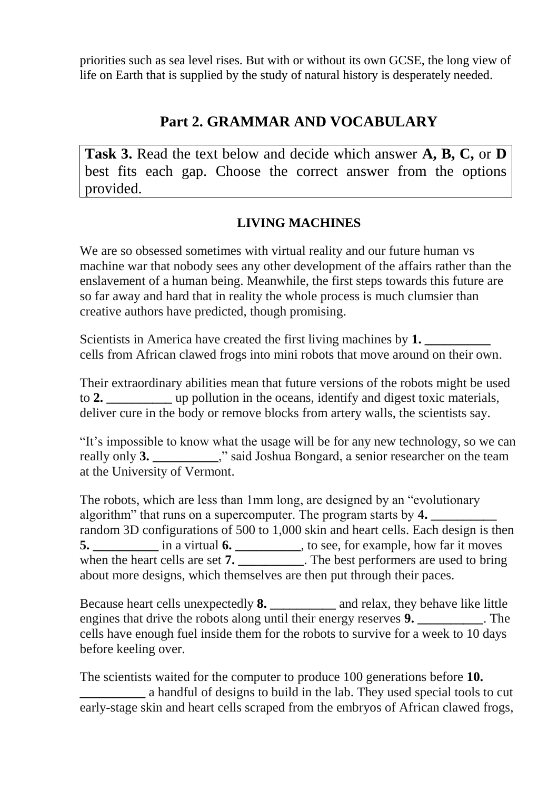priorities such as sea level rises. But with or without its own GCSE, the long view of life on Earth that is supplied by the study of natural history is desperately needed.

### **Part 2. GRAMMAR AND VOCABULARY**

**Task 3.** Read the text below and decide which answer **A, B, C,** or **D** best fits each gap. Choose the correct answer from the options provided.

### **LIVING MACHINES**

We are so obsessed sometimes with virtual reality and our future human vs machine war that nobody sees any other development of the affairs rather than the enslavement of a human being. Meanwhile, the first steps towards this future are so far away and hard that in reality the whole process is much clumsier than creative authors have predicted, though promising.

Scientists in America have created the first living machines by **1.** cells from African clawed frogs into mini robots that move around on their own.

Their extraordinary abilities mean that future versions of the robots might be used to **2. \_\_\_\_\_\_\_\_\_\_** up pollution in the oceans, identify and digest toxic materials, deliver cure in the body or remove blocks from artery walls, the scientists say.

"It's impossible to know what the usage will be for any new technology, so we can really only **3. \_\_\_\_\_\_\_\_\_\_**," said Joshua Bongard, a senior researcher on the team at the University of Vermont.

The robots, which are less than 1mm long, are designed by an "evolutionary algorithm" that runs on a supercomputer. The program starts by 4. random 3D configurations of 500 to 1,000 skin and heart cells. Each design is then **5.** \_\_\_\_\_\_\_\_\_\_\_\_ in a virtual **6.** \_\_\_\_\_\_\_\_\_\_\_, to see, for example, how far it moves when the heart cells are set **7.** \_\_\_\_\_\_\_\_\_. The best performers are used to bring about more designs, which themselves are then put through their paces.

Because heart cells unexpectedly **8. \_\_\_\_\_\_\_\_\_\_** and relax, they behave like little engines that drive the robots along until their energy reserves **9. \_\_\_\_\_\_\_\_\_\_**. The cells have enough fuel inside them for the robots to survive for a week to 10 days before keeling over.

The scientists waited for the computer to produce 100 generations before **10. \_\_\_\_\_\_\_\_\_\_** a handful of designs to build in the lab. They used special tools to cut early-stage skin and heart cells scraped from the embryos of African clawed frogs,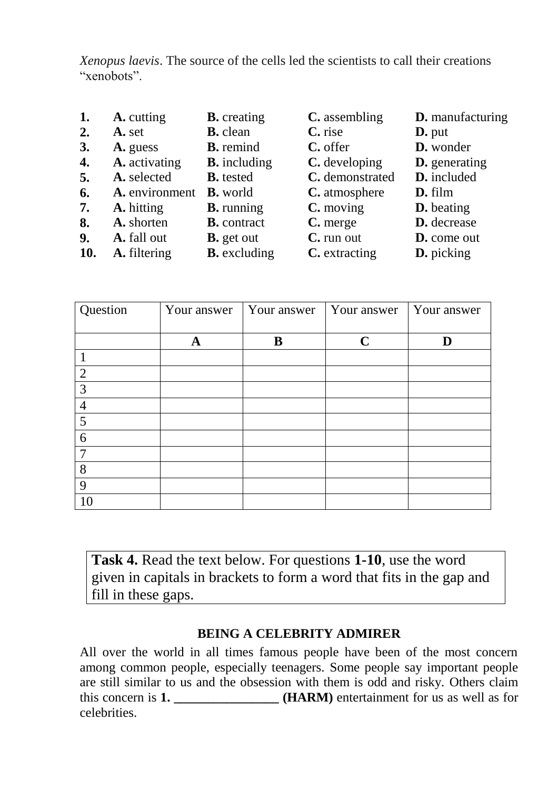*Xenopus laevis*. The source of the cells led the scientists to call their creations "xenobots".

| 1.  | A. cutting     | <b>B.</b> creating  | C. assembling   | <b>D.</b> manufacturing |
|-----|----------------|---------------------|-----------------|-------------------------|
| 2.  | A. set         | <b>B.</b> clean     | C. rise         | $\mathbf{D}$ . put      |
| 3.  | A. guess       | <b>B.</b> remind    | C. offer        | D. wonder               |
| 4.  | A. activating  | <b>B.</b> including | C. developing   | <b>D.</b> generating    |
| 5.  | A. selected    | <b>B.</b> tested    | C. demonstrated | D. included             |
| 6.  | A. environment | <b>B.</b> world     | C. atmosphere   | $D. film$               |
| 7.  | A. hitting     | <b>B.</b> running   | C. moving       | <b>D.</b> beating       |
| 8.  | A. shorten     | <b>B.</b> contract  | C. merge        | D. decrease             |
| 9.  | A. fall out    | <b>B.</b> get out   | C. run out      | D. come out             |
| 10. | A. filtering   | <b>B.</b> excluding | C. extracting   | D. picking              |

| Question       | Your answer | Your answer | Your answer | Your answer |
|----------------|-------------|-------------|-------------|-------------|
|                |             |             |             |             |
|                |             | B           | $\mathbf C$ |             |
|                |             |             |             |             |
| $\overline{2}$ |             |             |             |             |
| 3              |             |             |             |             |
| $\overline{4}$ |             |             |             |             |
| 5              |             |             |             |             |
| 6              |             |             |             |             |
| 7              |             |             |             |             |
| 8              |             |             |             |             |
| 9              |             |             |             |             |
| 10             |             |             |             |             |

**Task 4.** Read the text below. For questions **1-10**, use the word given in capitals in brackets to form a word that fits in the gap and fill in these gaps.

#### **BEING A CELEBRITY ADMIRER**

All over the world in all times famous people have been of the most concern among common people, especially teenagers. Some people say important people are still similar to us and the obsession with them is odd and risky. Others claim this concern is **1. \_\_\_\_\_\_\_\_\_\_\_\_\_\_\_\_ (HARM)** entertainment for us as well as for celebrities.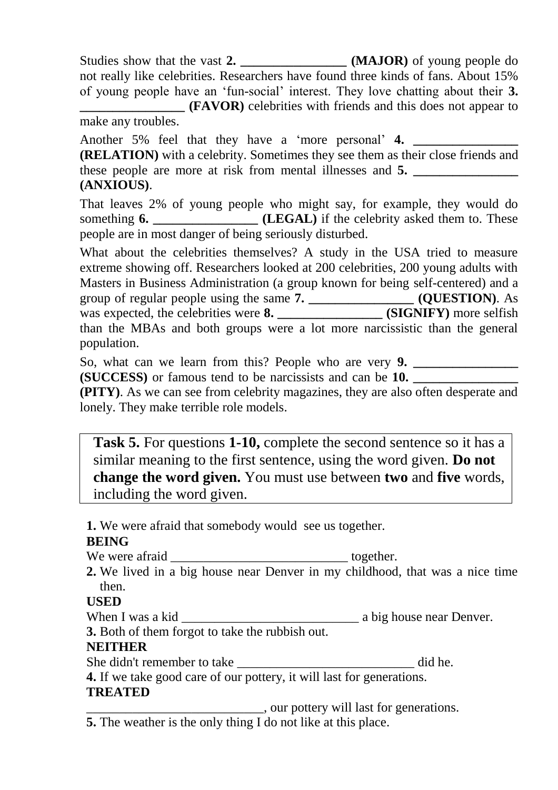Studies show that the vast **2. \_\_\_\_\_\_\_\_\_\_\_\_\_\_\_\_ (MAJOR)** of young people do not really like celebrities. Researchers have found three kinds of fans. About 15% of young people have an 'fun-social' interest. They love chatting about their **3. EXTERMOR)** celebrities with friends and this does not appear to make any troubles.

Another 5% feel that they have a 'more personal' 4.

**(RELATION)** with a celebrity. Sometimes they see them as their close friends and these people are more at risk from mental illnesses and **5. \_\_\_\_\_\_\_\_\_\_\_\_\_\_\_\_ (ANXIOUS)**.

That leaves 2% of young people who might say, for example, they would do something **6.** *LEGAL* if the celebrity asked them to. These people are in most danger of being seriously disturbed.

What about the celebrities themselves? A study in the USA tried to measure extreme showing off. Researchers looked at 200 celebrities, 200 young adults with Masters in Business Administration (a group known for being self-centered) and a group of regular people using the same **7. \_\_\_\_\_\_\_\_\_\_\_\_\_\_\_\_ (QUESTION)**. As was expected, the celebrities were **8. \_\_\_\_\_\_\_\_\_\_\_\_\_\_\_\_ (SIGNIFY)** more selfish than the MBAs and both groups were a lot more narcissistic than the general population.

So, what can we learn from this? People who are very **9. \_\_\_\_\_\_\_\_\_\_\_\_\_\_\_\_**

**(SUCCESS)** or famous tend to be narcissists and can be **10. \_\_\_\_\_\_\_\_\_\_\_\_\_\_\_\_**

**(PITY)**. As we can see from celebrity magazines, they are also often desperate and lonely. They make terrible role models.

**Task 5.** For questions **1-10,** complete the second sentence so it has a similar meaning to the first sentence, using the word given. **Do not change the word given.** You must use between **two** and **five** words, including the word given.

**1.** We were afraid that somebody would see us together.

### **BEING**

We were afraid \_\_\_\_\_\_\_\_\_\_\_\_\_\_\_\_\_\_\_\_\_\_\_\_\_\_\_ together.

**2.** We lived in a big house near Denver in my childhood, that was a nice time then.

### **USED**

When I was a kid \_\_\_\_\_\_\_\_\_\_\_\_\_\_\_\_\_\_\_\_\_\_\_\_\_\_\_ a big house near Denver.

**3.** Both of them forgot to take the rubbish out.

#### **NEITHER**

She didn't remember to take \_\_\_\_\_\_\_\_\_\_\_\_\_\_\_\_\_\_\_\_\_\_\_\_\_\_\_ did he.

**4.** If we take good care of our pottery, it will last for generations. **TREATED**

\_\_\_\_\_\_\_\_\_\_\_\_\_\_\_\_\_\_\_\_\_\_\_\_\_\_\_, our pottery will last for generations. **5.** The weather is the only thing I do not like at this place.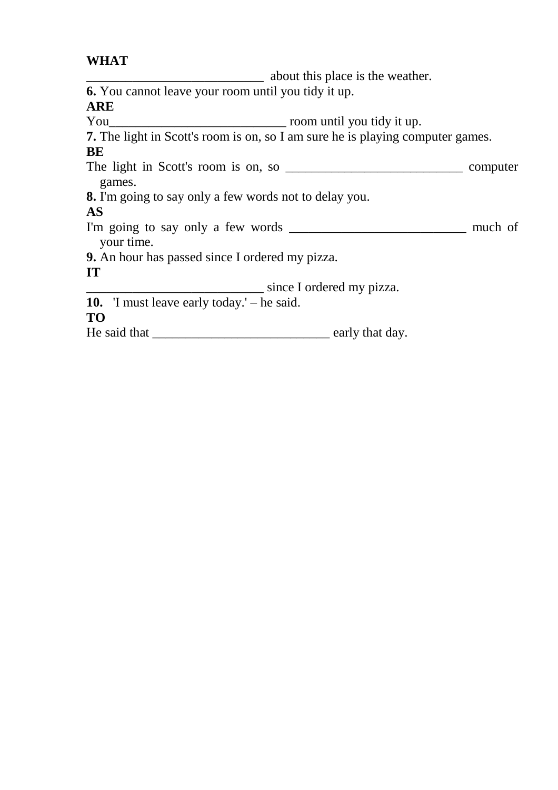#### **WHAT**

\_\_\_\_\_\_\_\_\_\_\_\_\_\_\_\_\_\_\_\_\_\_\_\_\_\_\_ about this place is the weather. **6.** You cannot leave your room until you tidy it up. ARE<br>You  $\frac{1}{2}$  room until you tidy it up. **7.** The light in Scott's room is on, so I am sure he is playing computer games. **BE** The light in Scott's room is on, so \_\_\_\_\_\_\_\_\_\_\_\_\_\_\_\_\_\_\_\_\_\_\_\_\_\_\_ computer games. **8.** I'm going to say only a few words not to delay you. **AS**  I'm going to say only a few words \_\_\_\_\_\_\_\_\_\_\_\_\_\_\_\_\_\_\_\_\_\_\_\_\_\_\_ much of your time. **9.** An hour has passed since I ordered my pizza. **IT** \_\_\_\_\_\_\_\_\_\_\_\_\_\_\_\_\_\_\_\_\_\_\_\_\_\_\_ since I ordered my pizza. **10.** 'I must leave early today.' – he said. **TO** He said that \_\_\_\_\_\_\_\_\_\_\_\_\_\_\_\_\_\_\_\_\_\_\_\_\_\_\_ early that day.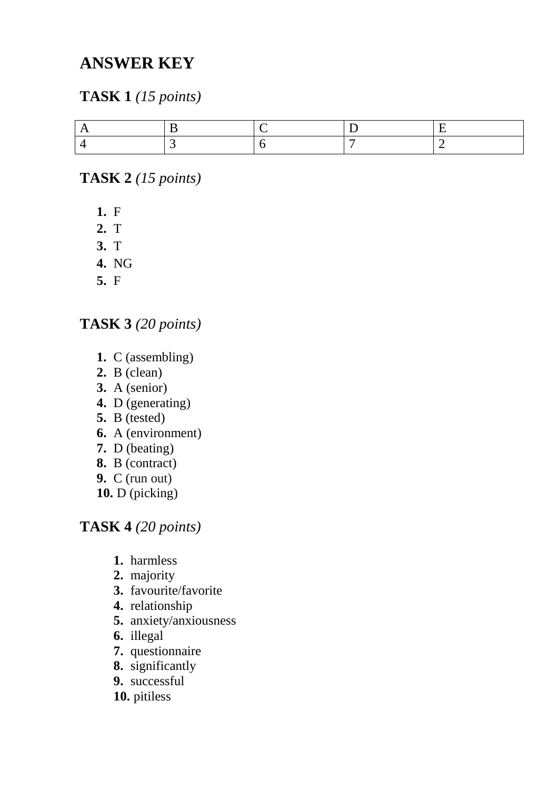# **ANSWER KEY**

# **TASK 1** *(15 points )*

**TASK 2** *(15 points )*

- **1.** F
- **2.** T
- **3.** T
- **4.** N G
- **5.** F

## **TASK 3** *(20 points )*

- **1.** C (assembling )
- **2.** B (clean )
- **3.** A (senior )
- **4.** D (generating )
- **5.** B (tested )
- **6.** A (environment )
- **7.** D (beating )
- **8.** B (contract )
- **9.** C (run out )
- **10.** D (picking )

### **TASK 4** *(20 points)*

- **1.** harmless
- **2.** majority
- **3.** favourite/favorite
- **4.** relationship
- **5.** anxiety/anxiousness
- **6.** illegal
- **7.** questionnaire
- **8.** significantly
- **9.** successful
- **10.** pitiless